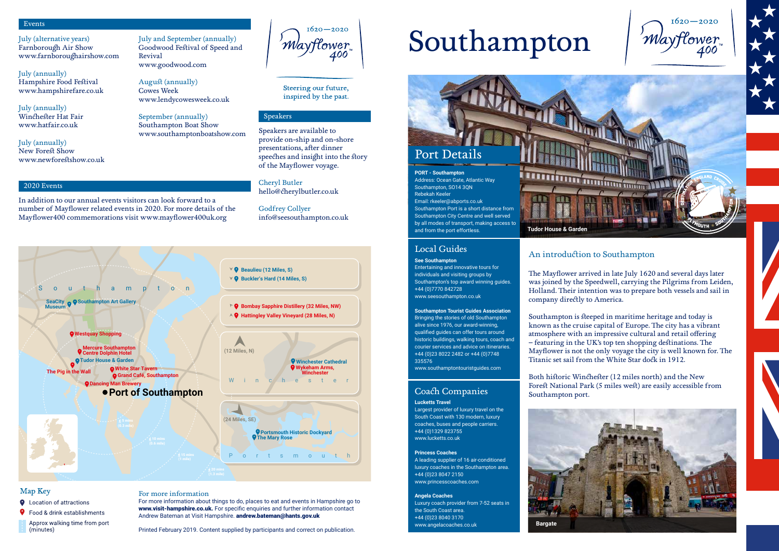

#### Map Key

- **Q** Location of attractions
- **9** Food & drink establishments

Approx walking time from port (minutes)

# Southampton

### Local Guides

**See Southampton**

Entertaining and innovative tours for individuals and visiting groups by Southampton's top award winning guides. +44 (0)7770 842728 www.seesouthampton.co.uk

**Southampton Tourist Guides Association**  Bringing the stories of old Southampton

#### Coach Companies **Lucketts Travel**

alive since 1976, our award-winning, qualified guides can offer tours around historic buildings, walking tours, coach and courier services and advice on itineraries. +44 (0)23 8022 2482 or +44 (0)7748 335576

www.southamptontouristguides.com

Largest provider of luxury travel on the South Coast with 130 modern, luxury coaches, buses and people carriers. +44 (0)1329 823755 www.lucketts.co.uk

#### **Princess Coaches**

A leading supplier of 16 air-conditioned luxury coaches in the Southampton area. +44 (0)23 8047 2150 www.princesscoaches.com

#### **Angela Coaches**

Luxury coach provider from 7-52 seats in the South Coast area. +44 (0)23 8040 3170 www.angelacoaches.co.uk

### An introduction to Southampton

For more information about things to do, places to eat and events in Hampshire go to www.visit-hampshire.co.uk. For specific enquiries and further information contact Andrew Bateman at Visit Hampshire. andrew.bateman@hants.gov.uk

The Mayflower arrived in late July 1620 and several days later was joined by the Speedwell, carrying the Pilgrims from Leiden, Holland. Their intention was to prepare both vessels and sail in company directly to America.

Southampton is steeped in maritime heritage and today is known as the cruise capital of Europe. The city has a vibrant atmosphere with an impressive cultural and retail offering – featuring in the UK's top ten shopping destinations. The Mayflower is not the only voyage the city is well known for. The Titanic set sail from the White Star dock in 1912.



Both historic Winchester (12 miles north) and the New Forest National Park (5 miles west) are easily accessible from Southampton port.

#### Events

2020 Events

#### Speakers

July (alternative years) Farnborough Air Show www.farnboroughairshow.com

July (annually) Hampshire Food Festival www.hampshirefare.co.uk

July (annually) Winchester Hat Fair www.hatfair.co.uk

July (annually) New Forest Show www.newforestshow.co.uk July and September (annually) Goodwood Festival of Speed and Revival www.goodwood.com

August (annually) Cowes Week www.lendycowesweek.co.uk

September (annually) Southampton Boat Show www.southamptonboatshow.com

 $1620 - 2020$ 'Mayflower 400

Steering our future, inspired by the past.

In addition to our annual events visitors can look forward to a

number of Mayflower related events in 2020. For more details of the Mayflower400 commemorations visit www.mayflower400uk.org

Speakers are available to provide on-ship and on-shore presentations, after dinner speeches and insight into the story of the Mayflower voyage.

Cheryl Butler hello@cherylbutler.co.uk

Godfrey Collyer info@seesouthampton.co.uk

#### For more information

Printed February 2019. Content supplied by participants and correct on publication.



 $1620 - 2020$ 'Mayflower 400